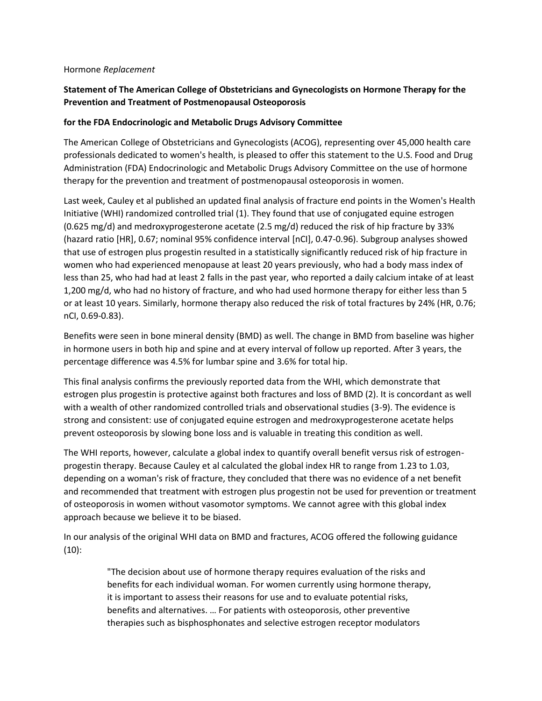## Hormone *Replacement*

## **Statement of The American College of Obstetricians and Gynecologists on Hormone Therapy for the Prevention and Treatment of Postmenopausal Osteoporosis**

## **for the FDA Endocrinologic and Metabolic Drugs Advisory Committee**

The American College of Obstetricians and Gynecologists (ACOG), representing over 45,000 health care professionals dedicated to women's health, is pleased to offer this statement to the U.S. Food and Drug Administration (FDA) Endocrinologic and Metabolic Drugs Advisory Committee on the use of hormone therapy for the prevention and treatment of postmenopausal osteoporosis in women.

Last week, Cauley et al published an updated final analysis of fracture end points in the Women's Health Initiative (WHI) randomized controlled trial (1). They found that use of conjugated equine estrogen (0.625 mg/d) and medroxyprogesterone acetate (2.5 mg/d) reduced the risk of hip fracture by 33% (hazard ratio [HR], 0.67; nominal 95% confidence interval [nCI], 0.47-0.96). Subgroup analyses showed that use of estrogen plus progestin resulted in a statistically significantly reduced risk of hip fracture in women who had experienced menopause at least 20 years previously, who had a body mass index of less than 25, who had had at least 2 falls in the past year, who reported a daily calcium intake of at least 1,200 mg/d, who had no history of fracture, and who had used hormone therapy for either less than 5 or at least 10 years. Similarly, hormone therapy also reduced the risk of total fractures by 24% (HR, 0.76; nCI, 0.69-0.83).

Benefits were seen in bone mineral density (BMD) as well. The change in BMD from baseline was higher in hormone users in both hip and spine and at every interval of follow up reported. After 3 years, the percentage difference was 4.5% for lumbar spine and 3.6% for total hip.

This final analysis confirms the previously reported data from the WHI, which demonstrate that estrogen plus progestin is protective against both fractures and loss of BMD (2). It is concordant as well with a wealth of other randomized controlled trials and observational studies (3-9). The evidence is strong and consistent: use of conjugated equine estrogen and medroxyprogesterone acetate helps prevent osteoporosis by slowing bone loss and is valuable in treating this condition as well.

The WHI reports, however, calculate a global index to quantify overall benefit versus risk of estrogenprogestin therapy. Because Cauley et al calculated the global index HR to range from 1.23 to 1.03, depending on a woman's risk of fracture, they concluded that there was no evidence of a net benefit and recommended that treatment with estrogen plus progestin not be used for prevention or treatment of osteoporosis in women without vasomotor symptoms. We cannot agree with this global index approach because we believe it to be biased.

In our analysis of the original WHI data on BMD and fractures, ACOG offered the following guidance (10):

> "The decision about use of hormone therapy requires evaluation of the risks and benefits for each individual woman. For women currently using hormone therapy, it is important to assess their reasons for use and to evaluate potential risks, benefits and alternatives. … For patients with osteoporosis, other preventive therapies such as bisphosphonates and selective estrogen receptor modulators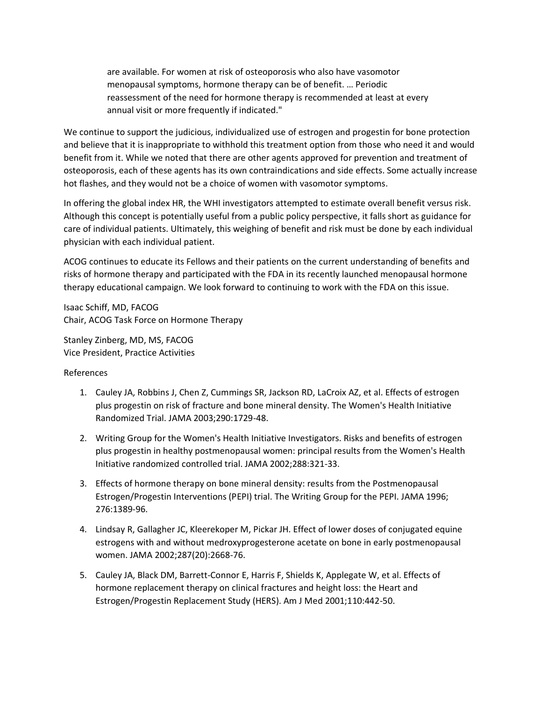are available. For women at risk of osteoporosis who also have vasomotor menopausal symptoms, hormone therapy can be of benefit. … Periodic reassessment of the need for hormone therapy is recommended at least at every annual visit or more frequently if indicated."

We continue to support the judicious, individualized use of estrogen and progestin for bone protection and believe that it is inappropriate to withhold this treatment option from those who need it and would benefit from it. While we noted that there are other agents approved for prevention and treatment of osteoporosis, each of these agents has its own contraindications and side effects. Some actually increase hot flashes, and they would not be a choice of women with vasomotor symptoms.

In offering the global index HR, the WHI investigators attempted to estimate overall benefit versus risk. Although this concept is potentially useful from a public policy perspective, it falls short as guidance for care of individual patients. Ultimately, this weighing of benefit and risk must be done by each individual physician with each individual patient.

ACOG continues to educate its Fellows and their patients on the current understanding of benefits and risks of hormone therapy and participated with the FDA in its recently launched menopausal hormone therapy educational campaign. We look forward to continuing to work with the FDA on this issue.

Isaac Schiff, MD, FACOG Chair, ACOG Task Force on Hormone Therapy

Stanley Zinberg, MD, MS, FACOG Vice President, Practice Activities

## References

- 1. Cauley JA, Robbins J, Chen Z, Cummings SR, Jackson RD, LaCroix AZ, et al. Effects of estrogen plus progestin on risk of fracture and bone mineral density. The Women's Health Initiative Randomized Trial. JAMA 2003;290:1729-48.
- 2. Writing Group for the Women's Health Initiative Investigators. Risks and benefits of estrogen plus progestin in healthy postmenopausal women: principal results from the Women's Health Initiative randomized controlled trial. JAMA 2002;288:321-33.
- 3. Effects of hormone therapy on bone mineral density: results from the Postmenopausal Estrogen/Progestin Interventions (PEPI) trial. The Writing Group for the PEPI. JAMA 1996; 276:1389-96.
- 4. Lindsay R, Gallagher JC, Kleerekoper M, Pickar JH. Effect of lower doses of conjugated equine estrogens with and without medroxyprogesterone acetate on bone in early postmenopausal women. JAMA 2002;287(20):2668-76.
- 5. Cauley JA, Black DM, Barrett-Connor E, Harris F, Shields K, Applegate W, et al. Effects of hormone replacement therapy on clinical fractures and height loss: the Heart and Estrogen/Progestin Replacement Study (HERS). Am J Med 2001;110:442-50.